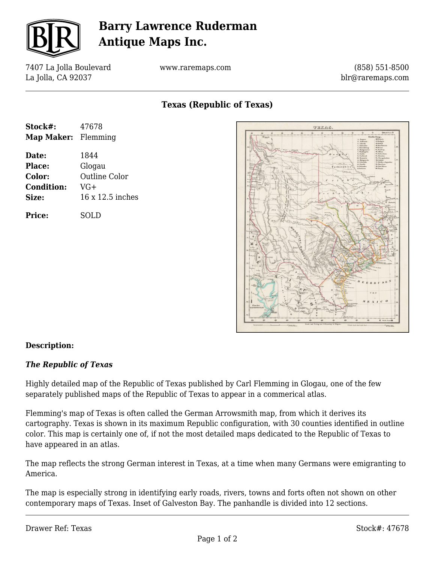

## **Barry Lawrence Ruderman Antique Maps Inc.**

7407 La Jolla Boulevard La Jolla, CA 92037

www.raremaps.com

(858) 551-8500 blr@raremaps.com

**Texas (Republic of Texas)**

| Stock#:                    | 47678                |
|----------------------------|----------------------|
| <b>Map Maker:</b> Flemming |                      |
| Date:                      | 1844                 |
| Place:                     | Glogau               |
| Color:                     | <b>Outline Color</b> |
| <b>Condition:</b>          | $VG+$                |
| Size:                      | 16 x 12.5 inches     |
| <b>Price:</b>              | SOLD                 |



## **Description:**

## *The Republic of Texas*

Highly detailed map of the Republic of Texas published by Carl Flemming in Glogau, one of the few separately published maps of the Republic of Texas to appear in a commerical atlas.

Flemming's map of Texas is often called the German Arrowsmith map, from which it derives its cartography. Texas is shown in its maximum Republic configuration, with 30 counties identified in outline color. This map is certainly one of, if not the most detailed maps dedicated to the Republic of Texas to have appeared in an atlas.

The map reflects the strong German interest in Texas, at a time when many Germans were emigranting to America.

The map is especially strong in identifying early roads, rivers, towns and forts often not shown on other contemporary maps of Texas. Inset of Galveston Bay. The panhandle is divided into 12 sections.